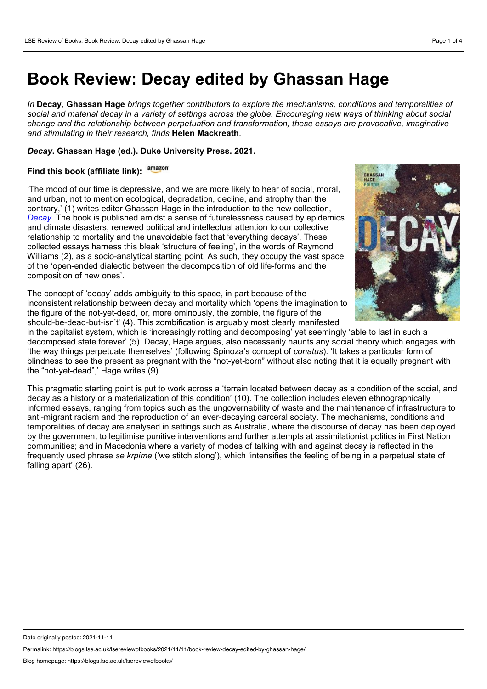## **Book Review: Decay edited by Ghassan Hage**

*In* **Decay***,* **Ghassan Hage** *brings together contributors to explore the mechanisms, conditions and temporalities of* social and material decay in a variety of settings across the globe. Encouraging new ways of thinking about social *change and the relationship between perpetuation and transformation, these essays are provocative, imaginative and stimulating in their research, finds* **Helen Mackreath***.*

## *Decay***. Ghassan Hage (ed.). Duke University Press. 2021.**

## **Find this book (affiliate link):**

'The mood of our time is depressive, and we are more likely to hear of social, moral, and urban, not to mention ecological, degradation, decline, and atrophy than the contrary,' (1) writes editor Ghassan Hage in the introduction to the new collection, *[Decay](https://www.dukeupress.edu/decay)*. The book is published amidst a sense of futurelessness caused by epidemics and climate disasters, renewed political and intellectual attention to our collective relationship to mortality and the unavoidable fact that 'everything decays'. These collected essays harness this bleak 'structure of feeling', in the words of Raymond Williams (2), as a socio-analytical starting point. As such, they occupy the vast space of the 'open-ended dialectic between the decomposition of old life-forms and the composition of new ones'.

The concept of 'decay' adds ambiguity to this space, in part because of the inconsistent relationship between decay and mortality which 'opens the imagination to the figure of the not-yet-dead, or, more ominously, the zombie, the figure of the should-be-dead-but-isn't' (4). This zombification is arguably most clearly manifested



in the capitalist system, which is 'increasingly rotting and decomposing' yet seemingly 'able to last in such a decomposed state forever' (5). Decay, Hage argues, also necessarily haunts any social theory which engages with 'the way things perpetuate themselves' (following Spinoza's concept of *conatus*). 'It takes a particular form of blindness to see the present as pregnant with the "not-yet-born" without also noting that it is equally pregnant with the "not-yet-dead",' Hage writes (9).

This pragmatic starting point is put to work across a 'terrain located between decay as a condition of the social, and decay as a history or a materialization of this condition' (10). The collection includes eleven ethnographically informed essays, ranging from topics such as the ungovernability of waste and the maintenance of infrastructure to anti-migrant racism and the reproduction of an ever-decaying carceral society. The mechanisms, conditions and temporalities of decay are analysed in settings such as Australia, where the discourse of decay has been deployed by the government to legitimise punitive interventions and further attempts at assimilationist politics in First Nation communities; and in Macedonia where a variety of modes of talking with and against decay is reflected in the frequently used phrase *se krpime* ('we stitch along'), which 'intensifies the feeling of being in a perpetual state of falling apart' (26).

Date originally posted: 2021-11-11

Permalink: https://blogs.lse.ac.uk/lsereviewofbooks/2021/11/11/book-review-decay-edited-by-ghassan-hage/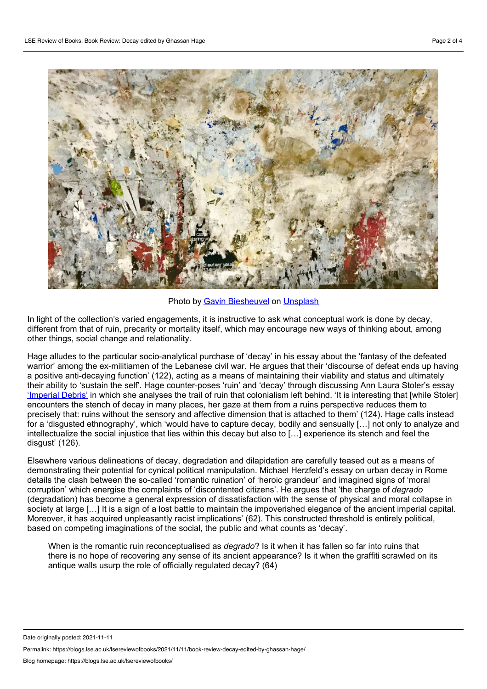

Photo by Gavin [Biesheuvel](https://unsplash.com/@gavinbiesheuvel?utm_source=unsplash&utm_medium=referral&utm_content=creditCopyText) on [Unsplash](https://unsplash.com/?utm_source=unsplash&utm_medium=referral&utm_content=creditCopyText)

In light of the collection's varied engagements, it is instructive to ask what conceptual work is done by decay, different from that of ruin, precarity or mortality itself, which may encourage new ways of thinking about, among other things, social change and relationality.

Hage alludes to the particular socio-analytical purchase of 'decay' in his essay about the 'fantasy of the defeated warrior' among the ex-militiamen of the Lebanese civil war. He argues that their 'discourse of defeat ends up having a positive anti-decaying function' (122), acting as a means of maintaining their viability and status and ultimately their ability to 'sustain the self'. Hage counter-poses 'ruin' and 'decay' through discussing Ann Laura Stoler's essay ['Imperial](https://www.jstor.org/stable/20484502) Debris' in which she analyses the trail of ruin that colonialism left behind. 'It is interesting that [while Stoler] encounters the stench of decay in many places, her gaze at them from aruins perspective reduces them to precisely that: ruins without the sensory and affective dimension that is attached to them' (124). Hage calls instead for a 'disgusted ethnography', which 'would have to capture decay, bodily and sensually […] not only to analyze and intellectualize the social injustice that lies within this decay but also to […] experience its stench and feel the disgust' (126).

Elsewhere various delineations of decay, degradation and dilapidation are carefully teased out as a means of demonstrating their potential for cynical political manipulation. Michael Herzfeld's essay on urban decay in Rome details the clash between the so-called 'romantic ruination' of 'heroic grandeur' and imagined signs of 'moral corruption' which energise the complaints of 'discontented citizens'. He argues that 'the charge of *degrado* (degradation) has become a general expression of dissatisfaction with the sense of physical and moral collapse in society at large [...] It is a sign of a lost battle to maintain the impoverished elegance of the ancient imperial capital. Moreover, it has acquired unpleasantly racist implications' (62). This constructed threshold is entirely political, based on competing imaginations of the social, the public and what counts as 'decay'.

When is the romantic ruin reconceptualised as *degrado*? Is it when it has fallen so far into ruins that there is no hope of recovering any sense of its ancient appearance? Is it when the graffiti scrawled on its antique walls usurp the role of officially regulated decay? (64)

Date originally posted: 2021-11-11

Permalink: https://blogs.lse.ac.uk/lsereviewofbooks/2021/11/11/book-review-decay-edited-by-ghassan-hage/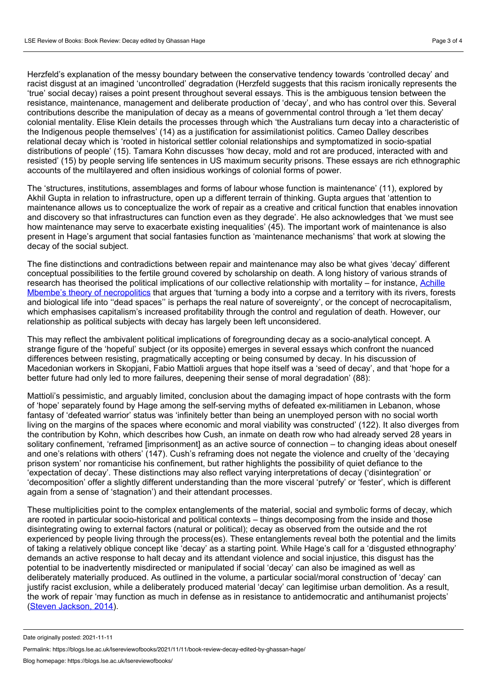Herzfeld's explanation of the messy boundary between the conservative tendency towards 'controlled decay' and racist disgust at an imagined 'uncontrolled' degradation (Herzfeld suggests that this racism ironically represents the 'true' social decay) raises a point present throughout several essays. This is the ambiguous tension between the resistance, maintenance, management and deliberate production of 'decay', and who has control over this. Several contributions describe the manipulation of decay as a means of governmental control through a 'let them decay' colonial mentality. Elise Klein details the processes through which 'the Australians turn decay into a characteristic of the Indigenous people themselves' (14) as a justification for assimilationist politics. Cameo Dalley describes relational decay which is 'rooted in historical settler colonial relationships and symptomatized in socio-spatial distributions of people' (15). Tamara Kohn discusses 'how decay, mold and rot are produced, interacted with and resisted' (15) by people serving life sentences in US maximum security prisons. These essays are rich ethnographic accounts of the multilayered and often insidious workings of colonial forms of power.

The 'structures, institutions, assemblages and forms of labour whose function is maintenance' (11), explored by Akhil Gupta in relation to infrastructure, open up a different terrain of thinking. Gupta argues that 'attention to maintenance allows us to conceptualize the work of repair as a creative and critical function that enables innovation and discovery so that infrastructures can function even as they degrade'. He also acknowledges that 'we must see how maintenance may serve to exacerbate existing inequalities' (45). The important work of maintenance is also present in Hage's argument that social fantasies function as 'maintenance mechanisms' that work at slowing the decay of the social subject.

The fine distinctions and contradictions between repair and maintenance may also be what gives 'decay' different conceptual possibilities to the fertile ground covered by scholarship on death. A long history of various strands of research has theorised the political implications of our collective relationship with mortality – for instance, Achille Mbembe's theory of [necropolitics](https://www.dukeupress.edu/necropolitics) that argues that 'turning a body into a corpse and a territory with its rivers, forests and biological life into ''dead spaces'' is perhaps the real nature of sovereignty', or the concept of necrocapitalism, which emphasises capitalism's increased profitability through the control and regulation of death. However, our relationship as political subjects with decay has largely been left unconsidered.

This may reflect the ambivalent political implications of foregrounding decay as a socio-analytical concept. A strange figure of the 'hopeful' subject (or its opposite) emerges in several essays which confront the nuanced differences between resisting, pragmatically accepting or being consumed by decay. In his discussion of Macedonian workers in Skopjani, Fabio Mattioli argues that hope itself was a 'seed of decay', and that 'hope for a better future had only led to more failures, deepening their sense of moral degradation' (88):

Mattioli's pessimistic, and arguably limited, conclusion about the damaging impact of hope contrasts with the form of 'hope' separately found by Hage among the self-serving myths of defeated ex-militiamen in Lebanon, whose fantasy of 'defeated warrior' status was 'infinitely better than being an unemployed person with no social worth living on the margins of the spaces where economic and moral viability was constructed' (122). It also diverges from the contribution by Kohn, which describes how Cush, an inmate on death row who had already served 28 years in solitary confinement, 'reframed [imprisonment] as an active source of connection – to changing ideas about oneself and one's relations with others' (147). Cush's reframing does not negate the violence and cruelty of the 'decaying prison system' nor romanticise his confinement, but rather highlights the possibility of quiet defiance to the 'expectation of decay'. These distinctions may also reflect varying interpretations of decay ('disintegration' or 'decomposition' offer a slightly different understanding than the more visceral 'putrefy' or 'fester', which is different again from asense of 'stagnation') and their attendant processes.

These multiplicities point to the complex entanglements of the material, social and symbolic forms of decay, which are rooted in particular socio-historical and political contexts – things decomposing from the inside and those disintegrating owing to external factors (natural or political); decay as observed from the outside and the rot experienced by people living through the process(es). These entanglements reveal both the potential and the limits of taking a relatively oblique concept like 'decay' as a starting point. While Hage's call for a 'disgusted ethnography' demands an active response to halt decay and its attendant violence and social injustice, this disgust has the potential to be inadvertently misdirected or manipulated if social 'decay' can also be imagined as well as deliberately materially produced. As outlined in the volume, a particular social/moral construction of 'decay' can justify racist exclusion, while a deliberately produced material 'decay' can legitimise urban demolition. As a result, the work of repair 'may function as much in defense as in resistance to antidemocratic and antihumanist projects' (Steven [Jackson,](https://mitpress.mit.edu/books/media-technologies) 2014).

Date originally posted: 2021-11-11

Permalink: https://blogs.lse.ac.uk/lsereviewofbooks/2021/11/11/book-review-decay-edited-by-ghassan-hage/